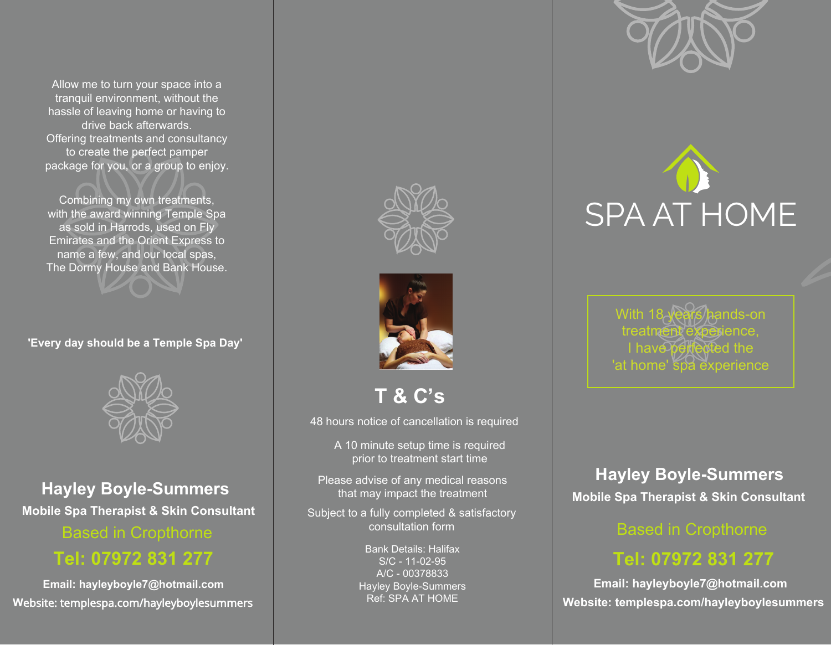tranquil environment, without the hassle of leaving home or having to drive back afterwards. Offering treatments and consultancy package for you, or a group to enjoy. Allow me to turn your space into a to create the perfect pamper

with the award winning Temple Spa<br>——————————————————— as sold in Harrods, used on Fly<br>———————————————————— Emirates and the Orient Express to name a few, and our local spas,<br>———————————————————— The Dormy House and Bank House. Combining my own treatments,



**'Every day should be a Temple Spa Day'**



**Hayley Boyle-Summers Hayley Boyle-Summers Mobile Spa Therapist & Skin Consultant Mobile Spa Therapist & Skin Consultant Mobile Spa Therapist & Skin Consultant Hayley Boyle-Summers** Thease advise of any medical reasons **Mobile Spa Therapist & Skin Consultant Analysis and Mobile Spa Therapist & Skin Consultant** 

Based in Cropthorne

## **Tel: 07972 831 277 Call: 07972 831277 Call: 07972 831277**

**W**ebsite: templespa.com/hayleyboylesummers Website: templespa.com/hayleyboylesummers Website: templespa.com/hayleyboylesummers **Email: hayleyboyle7@hotmail.com** Email: hayleyboyle7@hotmail.com Email: hayleyboyle7@hotmail.com





**T & C's T & C's:**

48 hours notice of cancellation is required

A 10 minute setup time is required.<br>A localizate treatment data time prior to treatment start time

Please advise of any medical reasons that may impact the treatment  $\hspace{0.1mm}$ 

You suitation form Subject to a fully completed & satisfactory consultation form

> **Tinting available on request on request**<br>A/C - 00378833 after a patch text has been Hayley Boyle-Summers Ref: SPA AT HOME Bank Details: Halifax S/C - 11-02-95



# SPA AT HOME SPA AT HOME SPA AT HOME

With **18 years** hands-on treatment experience  $I_{\text{h}}$  have perfected the perfection of the set **Thave believed the** With 18 year*s* hands-on treatm<del>ent</del> experience, I have⁄perfected the 'at home' spa experience

### **Hayley Boyle-Summers**

#### **Based in Cropthorne**

# **Call: 07972 831277 Tel: 07972 831 277**

E Email: hayleyboyle7@hotmail.com **Email: hayleyboyle7@hotmail.com** Website: templespa.com/hayleyboylesummers **Website: templespa.com/hayleyboylesummers**